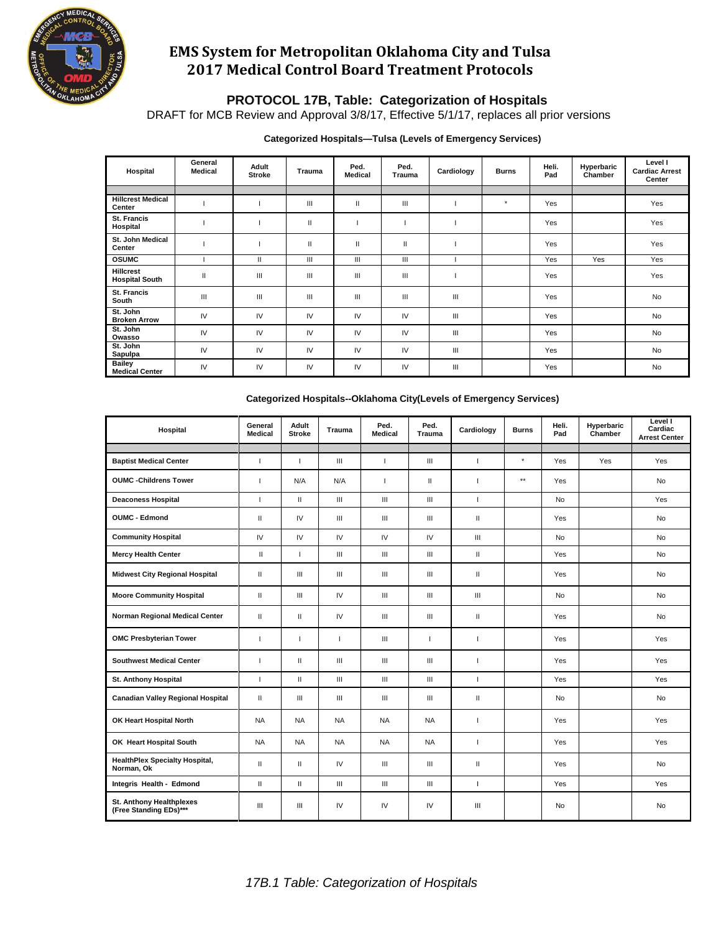

# **EMS System for Metropolitan Oklahoma City and Tulsa 2017 Medical Control Board Treatment Protocols**

### **PROTOCOL 17B, Table: Categorization of Hospitals**

DRAFT for MCB Review and Approval 3/8/17, Effective 5/1/17, replaces all prior versions

#### **Categorized Hospitals—Tulsa (Levels of Emergency Services)**

| Hospital                                  | General<br><b>Medical</b> | Adult<br><b>Stroke</b> | <b>Trauma</b> | Ped.<br><b>Medical</b> | Ped.<br><b>Trauma</b> | Cardiology | <b>Burns</b> | Heli.<br>Pad | <b>Hyperbaric</b><br>Chamber | Level I<br><b>Cardiac Arrest</b><br>Center |
|-------------------------------------------|---------------------------|------------------------|---------------|------------------------|-----------------------|------------|--------------|--------------|------------------------------|--------------------------------------------|
|                                           |                           |                        |               |                        |                       |            |              |              |                              |                                            |
| <b>Hillcrest Medical</b><br>Center        |                           |                        | Ш             | $\mathbf{I}$           | Ш                     |            | $^\star$     | Yes          |                              | Yes                                        |
| St. Francis<br>Hospital                   |                           |                        | Ш             |                        |                       |            |              | Yes          |                              | Yes                                        |
| St. John Medical<br>Center                |                           |                        | Ш             | $\mathbf{I}$           | $\mathbf{II}$         |            |              | Yes          |                              | Yes                                        |
| <b>OSUMC</b>                              |                           | $\mathbf{I}$           | Ш             | Ш                      | Ш                     |            |              | Yes          | Yes                          | Yes                                        |
| <b>Hillcrest</b><br><b>Hospital South</b> | $\mathsf{I}$              | Ш                      | Ш             | Ш                      | Ш                     |            |              | Yes          |                              | Yes                                        |
| <b>St. Francis</b><br>South               | Ш                         | Ш                      | Ш             | Ш                      | Ш                     | Ш          |              | Yes          |                              | <b>No</b>                                  |
| St. John<br><b>Broken Arrow</b>           | IV                        | IV                     | IV            | IV                     | IV                    | Ш          |              | Yes          |                              | <b>No</b>                                  |
| St. John<br>Owasso                        | IV                        | IV                     | IV            | IV                     | IV                    | Ш          |              | Yes          |                              | <b>No</b>                                  |
| St. John<br>Sapulpa                       | IV                        | IV                     | IV            | IV                     | IV                    | Ш          |              | Yes          |                              | <b>No</b>                                  |
| <b>Bailey</b><br><b>Medical Center</b>    | IV                        | IV                     | IV            | IV                     | IV                    | Ш          |              | Yes          |                              | No                                         |

| Hospital                                                  | General<br><b>Medical</b> | Adult<br><b>Stroke</b> | Trauma                             | Ped.<br>Medical                    | Ped.<br>Trauma                     | Cardiology               | <b>Burns</b>    | Heli.<br>Pad | Hyperbaric<br>Chamber | Level I<br>Cardiac<br><b>Arrest Center</b> |
|-----------------------------------------------------------|---------------------------|------------------------|------------------------------------|------------------------------------|------------------------------------|--------------------------|-----------------|--------------|-----------------------|--------------------------------------------|
|                                                           |                           |                        |                                    |                                    |                                    |                          |                 |              |                       |                                            |
| <b>Baptist Medical Center</b>                             | $\overline{1}$            | Ť                      | $\ensuremath{\mathsf{III}}\xspace$ | $\overline{1}$                     | $\ensuremath{\mathsf{III}}\xspace$ | $\overline{1}$           | $^\star$        | Yes          | Yes                   | Yes                                        |
| <b>OUMC -Childrens Tower</b>                              | $\overline{1}$            | N/A                    | N/A                                | $\overline{1}$                     | $\mathbf{H}$                       | ı                        | $^{\star\star}$ | Yes          |                       | No                                         |
| <b>Deaconess Hospital</b>                                 | $\mathbf{I}$              | $\mathbf{H}$           | $\mathbf{III}$                     | $\ensuremath{\mathsf{III}}\xspace$ | $\ensuremath{\mathsf{III}}\xspace$ | $\overline{1}$           |                 | No           |                       | Yes                                        |
| <b>OUMC - Edmond</b>                                      | $\mathbf{II}$             | IV                     | Ш                                  | III                                | III                                | $\mathbf{H}$             |                 | Yes          |                       | <b>No</b>                                  |
| <b>Community Hospital</b>                                 | IV                        | IV                     | IV                                 | IV                                 | IV                                 | Ш                        |                 | No           |                       | <b>No</b>                                  |
| <b>Mercy Health Center</b>                                | $\mathbf{I}$              | I                      | $\ensuremath{\mathsf{III}}\xspace$ | $\ensuremath{\mathsf{III}}\xspace$ | $\ensuremath{\mathsf{III}}\xspace$ | $\mathbf{H}$             |                 | Yes          |                       | <b>No</b>                                  |
| <b>Midwest City Regional Hospital</b>                     | $\mathbf{II}$             | Ш                      | Ш                                  | III                                | III                                | $\mathbf{H}$             |                 | Yes          |                       | <b>No</b>                                  |
| <b>Moore Community Hospital</b>                           | $\mathbf{H}$              | Ш                      | IV                                 | $\mathbf{III}$                     | III                                | Ш                        |                 | No           |                       | <b>No</b>                                  |
| Norman Regional Medical Center                            | $\mathbf{I}$              | $\mathbf{II}$          | IV                                 | $\mathbf{III}$                     | $\ensuremath{\mathsf{III}}\xspace$ | $\mathbf{H}$             |                 | Yes          |                       | No                                         |
| <b>OMC Presbyterian Tower</b>                             |                           | ı                      | I                                  | $\mathbf{III}$                     | I.                                 | I                        |                 | Yes          |                       | Yes                                        |
| <b>Southwest Medical Center</b>                           |                           | $\mathbf{II}$          | Ш                                  | $\ensuremath{\mathsf{III}}\xspace$ | $\ensuremath{\mathsf{III}}\xspace$ | I                        |                 | Yes          |                       | Yes                                        |
| <b>St. Anthony Hospital</b>                               | п                         | $\mathbf{II}$          | III                                | $\mathbf{III}$                     | $\mathbf{III}$                     | $\overline{1}$           |                 | Yes          |                       | Yes                                        |
| <b>Canadian Valley Regional Hospital</b>                  | $\mathbf{H}$              | Ш                      | $\mathbf{III}$                     | $\mathbf{III}$                     | $\mathbf{III}$                     | $\mathbf{H}$             |                 | No           |                       | No                                         |
| OK Heart Hospital North                                   | <b>NA</b>                 | <b>NA</b>              | <b>NA</b>                          | <b>NA</b>                          | <b>NA</b>                          | $\overline{1}$           |                 | <b>Yes</b>   |                       | <b>Yes</b>                                 |
| OK Heart Hospital South                                   | <b>NA</b>                 | <b>NA</b>              | <b>NA</b>                          | <b>NA</b>                          | <b>NA</b>                          | $\mathbf{I}$             |                 | Yes          |                       | Yes                                        |
| <b>HealthPlex Specialty Hospital,</b><br>Norman, Ok       | $\mathbf{H}$              | $\mathbf{II}$          | IV                                 | III                                | III                                | $\mathbf{H}$             |                 | Yes          |                       | No                                         |
| Integris Health - Edmond                                  | $\mathbf{I}$              | $\mathbf{H}$           | $\mathbf{III}$                     | $\mathbf{III}$                     | $\mathbf{III}$                     | $\overline{\phantom{a}}$ |                 | Yes          |                       | Yes                                        |
| <b>St. Anthony Healthplexes</b><br>(Free Standing EDs)*** | Ш                         | Ш                      | IV                                 | IV                                 | IV                                 | Ш                        |                 | No           |                       | <b>No</b>                                  |

#### **Categorized Hospitals--Oklahoma City(Levels of Emergency Services)**